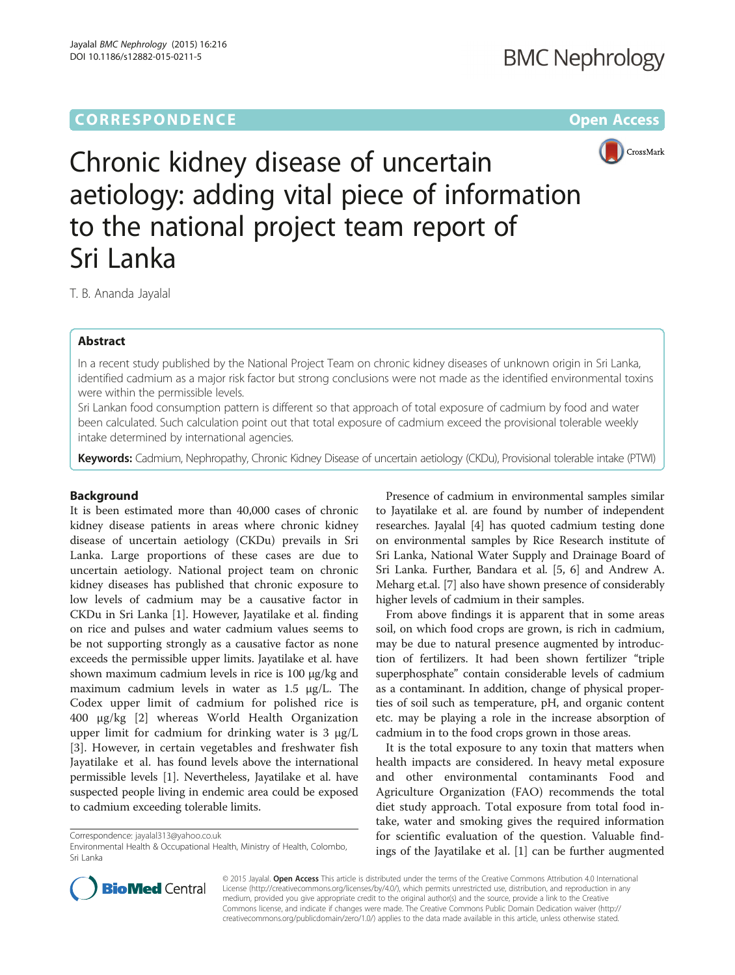# **CORRESPONDENCE CORRESPONDENCE** *CORRESPONDENCE*



Chronic kidney disease of uncertain aetiology: adding vital piece of information to the national project team report of Sri Lanka

T. B. Ananda Jayalal

### Abstract

In a recent study published by the National Project Team on chronic kidney diseases of unknown origin in Sri Lanka, identified cadmium as a major risk factor but strong conclusions were not made as the identified environmental toxins were within the permissible levels.

Sri Lankan food consumption pattern is different so that approach of total exposure of cadmium by food and water been calculated. Such calculation point out that total exposure of cadmium exceed the provisional tolerable weekly intake determined by international agencies.

Keywords: Cadmium, Nephropathy, Chronic Kidney Disease of uncertain aetiology (CKDu), Provisional tolerable intake (PTWI)

### Background

It is been estimated more than 40,000 cases of chronic kidney disease patients in areas where chronic kidney disease of uncertain aetiology (CKDu) prevails in Sri Lanka. Large proportions of these cases are due to uncertain aetiology. National project team on chronic kidney diseases has published that chronic exposure to low levels of cadmium may be a causative factor in CKDu in Sri Lanka [[1](#page-2-0)]. However, Jayatilake et al. finding on rice and pulses and water cadmium values seems to be not supporting strongly as a causative factor as none exceeds the permissible upper limits. Jayatilake et al. have shown maximum cadmium levels in rice is 100 μg/kg and maximum cadmium levels in water as 1.5 μg/L. The Codex upper limit of cadmium for polished rice is 400 μg/kg [\[2](#page-2-0)] whereas World Health Organization upper limit for cadmium for drinking water is 3 μg/L [[3\]](#page-2-0). However, in certain vegetables and freshwater fish Jayatilake et al. has found levels above the international permissible levels [\[1\]](#page-2-0). Nevertheless, Jayatilake et al. have suspected people living in endemic area could be exposed to cadmium exceeding tolerable limits.

Correspondence: [jayalal313@yahoo.co.uk](mailto:jayalal313@yahoo.co.uk)

Presence of cadmium in environmental samples similar to Jayatilake et al. are found by number of independent researches. Jayalal [[4](#page-2-0)] has quoted cadmium testing done on environmental samples by Rice Research institute of Sri Lanka, National Water Supply and Drainage Board of Sri Lanka. Further, Bandara et al. [\[5](#page-2-0), [6](#page-2-0)] and Andrew A. Meharg et.al. [\[7](#page-2-0)] also have shown presence of considerably higher levels of cadmium in their samples.

From above findings it is apparent that in some areas soil, on which food crops are grown, is rich in cadmium, may be due to natural presence augmented by introduction of fertilizers. It had been shown fertilizer "triple superphosphate" contain considerable levels of cadmium as a contaminant. In addition, change of physical properties of soil such as temperature, pH, and organic content etc. may be playing a role in the increase absorption of cadmium in to the food crops grown in those areas.

It is the total exposure to any toxin that matters when health impacts are considered. In heavy metal exposure and other environmental contaminants Food and Agriculture Organization (FAO) recommends the total diet study approach. Total exposure from total food intake, water and smoking gives the required information for scientific evaluation of the question. Valuable findings of the Jayatilake et al. [[1\]](#page-2-0) can be further augmented



© 2015 Jayalal. Open Access This article is distributed under the terms of the Creative Commons Attribution 4.0 International License ([http://creativecommons.org/licenses/by/4.0/\)](http://creativecommons.org/licenses/by/4.0/), which permits unrestricted use, distribution, and reproduction in any medium, provided you give appropriate credit to the original author(s) and the source, provide a link to the Creative Commons license, and indicate if changes were made. The Creative Commons Public Domain Dedication waiver ([http://](http://creativecommons.org/publicdomain/zero/1.0/) [creativecommons.org/publicdomain/zero/1.0/\)](http://creativecommons.org/publicdomain/zero/1.0/) applies to the data made available in this article, unless otherwise stated.

Environmental Health & Occupational Health, Ministry of Health, Colombo, Sri Lanka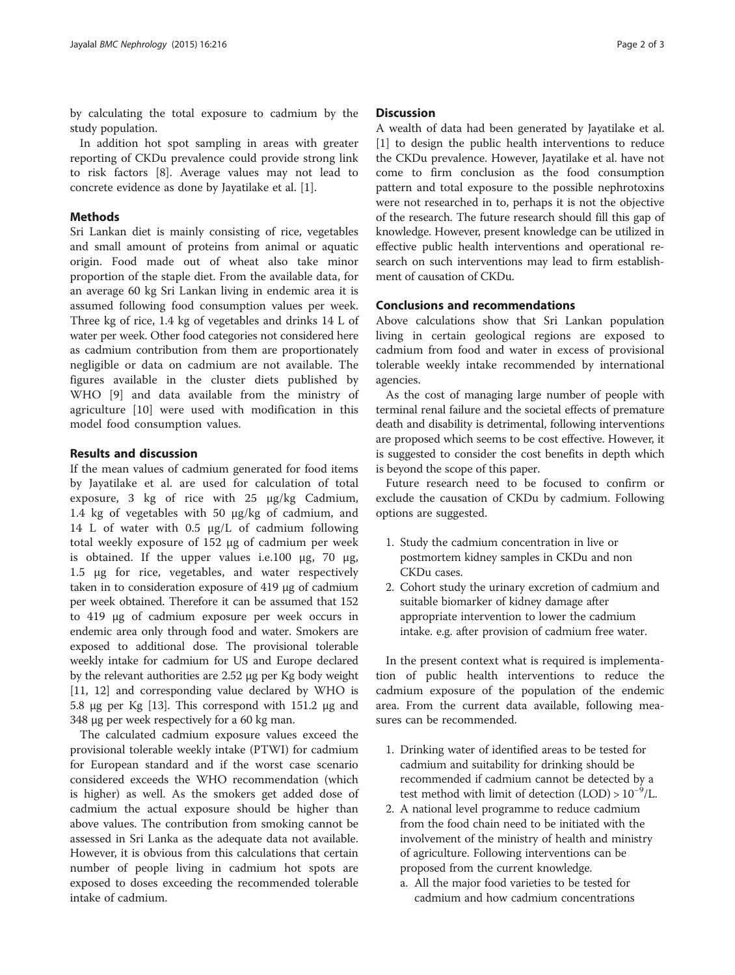by calculating the total exposure to cadmium by the study population.

In addition hot spot sampling in areas with greater reporting of CKDu prevalence could provide strong link to risk factors [\[8](#page-2-0)]. Average values may not lead to concrete evidence as done by Jayatilake et al. [[1](#page-2-0)].

### Methods

Sri Lankan diet is mainly consisting of rice, vegetables and small amount of proteins from animal or aquatic origin. Food made out of wheat also take minor proportion of the staple diet. From the available data, for an average 60 kg Sri Lankan living in endemic area it is assumed following food consumption values per week. Three kg of rice, 1.4 kg of vegetables and drinks 14 L of water per week. Other food categories not considered here as cadmium contribution from them are proportionately negligible or data on cadmium are not available. The figures available in the cluster diets published by WHO [[9\]](#page-2-0) and data available from the ministry of agriculture [[10\]](#page-2-0) were used with modification in this model food consumption values.

### Results and discussion

If the mean values of cadmium generated for food items by Jayatilake et al. are used for calculation of total exposure, 3 kg of rice with 25 μg/kg Cadmium, 1.4 kg of vegetables with 50 μg/kg of cadmium, and 14 L of water with 0.5 μg/L of cadmium following total weekly exposure of 152 μg of cadmium per week is obtained. If the upper values i.e.100 μg, 70 μg, 1.5 μg for rice, vegetables, and water respectively taken in to consideration exposure of 419 μg of cadmium per week obtained. Therefore it can be assumed that 152 to 419 μg of cadmium exposure per week occurs in endemic area only through food and water. Smokers are exposed to additional dose. The provisional tolerable weekly intake for cadmium for US and Europe declared by the relevant authorities are 2.52 μg per Kg body weight [[11](#page-2-0), [12](#page-2-0)] and corresponding value declared by WHO is 5.8 μg per Kg [\[13\]](#page-2-0). This correspond with 151.2 μg and 348 μg per week respectively for a 60 kg man.

The calculated cadmium exposure values exceed the provisional tolerable weekly intake (PTWI) for cadmium for European standard and if the worst case scenario considered exceeds the WHO recommendation (which is higher) as well. As the smokers get added dose of cadmium the actual exposure should be higher than above values. The contribution from smoking cannot be assessed in Sri Lanka as the adequate data not available. However, it is obvious from this calculations that certain number of people living in cadmium hot spots are exposed to doses exceeding the recommended tolerable intake of cadmium.

### **Discussion**

A wealth of data had been generated by Jayatilake et al. [[1\]](#page-2-0) to design the public health interventions to reduce the CKDu prevalence. However, Jayatilake et al. have not come to firm conclusion as the food consumption pattern and total exposure to the possible nephrotoxins were not researched in to, perhaps it is not the objective of the research. The future research should fill this gap of knowledge. However, present knowledge can be utilized in effective public health interventions and operational research on such interventions may lead to firm establishment of causation of CKDu.

### Conclusions and recommendations

Above calculations show that Sri Lankan population living in certain geological regions are exposed to cadmium from food and water in excess of provisional tolerable weekly intake recommended by international agencies.

As the cost of managing large number of people with terminal renal failure and the societal effects of premature death and disability is detrimental, following interventions are proposed which seems to be cost effective. However, it is suggested to consider the cost benefits in depth which is beyond the scope of this paper.

Future research need to be focused to confirm or exclude the causation of CKDu by cadmium. Following options are suggested.

- 1. Study the cadmium concentration in live or postmortem kidney samples in CKDu and non CKDu cases.
- 2. Cohort study the urinary excretion of cadmium and suitable biomarker of kidney damage after appropriate intervention to lower the cadmium intake. e.g. after provision of cadmium free water.

In the present context what is required is implementation of public health interventions to reduce the cadmium exposure of the population of the endemic area. From the current data available, following measures can be recommended.

- 1. Drinking water of identified areas to be tested for cadmium and suitability for drinking should be recommended if cadmium cannot be detected by a test method with limit of detection  $(LOD) > 10^{-9}/L$ .
- 2. A national level programme to reduce cadmium from the food chain need to be initiated with the involvement of the ministry of health and ministry of agriculture. Following interventions can be proposed from the current knowledge.
	- a. All the major food varieties to be tested for cadmium and how cadmium concentrations